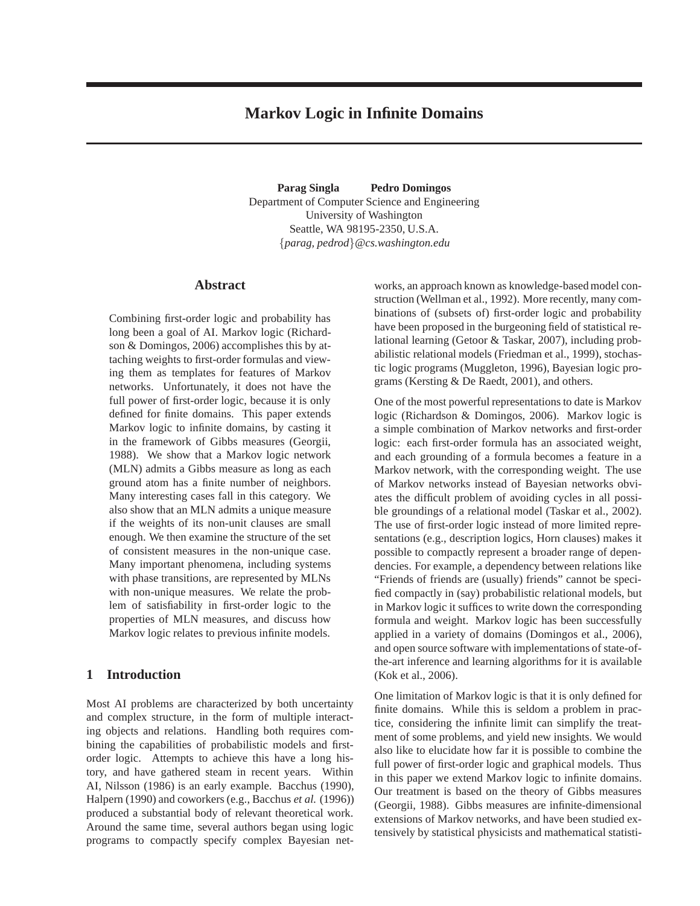# **Markov Logic in Infinite Domains**

**Parag Singla Pedro Domingos** Department of Computer Science and Engineering University of Washington Seattle, WA 98195-2350, U.S.A. {*parag, pedrod*}*@cs.washington.edu*

# **Abstract**

Combining first-order logic and probability has long been a goal of AI. Markov logic (Richardson & Domingos, 2006) accomplishes this by attaching weights to first-order formulas and viewing them as templates for features of Markov networks. Unfortunately, it does not have the full power of first-order logic, because it is only defined for finite domains. This paper extends Markov logic to infinite domains, by casting it in the framework of Gibbs measures (Georgii, 1988). We show that a Markov logic network (MLN) admits a Gibbs measure as long as each ground atom has a finite number of neighbors. Many interesting cases fall in this category. We also show that an MLN admits a unique measure if the weights of its non-unit clauses are small enough. We then examine the structure of the set of consistent measures in the non-unique case. Many important phenomena, including systems with phase transitions, are represented by MLNs with non-unique measures. We relate the problem of satisfiability in first-order logic to the properties of MLN measures, and discuss how Markov logic relates to previous infinite models.

# **1 Introduction**

Most AI problems are characterized by both uncertainty and complex structure, in the form of multiple interacting objects and relations. Handling both requires combining the capabilities of probabilistic models and firstorder logic. Attempts to achieve this have a long history, and have gathered steam in recent years. Within AI, Nilsson (1986) is an early example. Bacchus (1990), Halpern (1990) and coworkers (e.g., Bacchus *et al.* (1996)) produced a substantial body of relevant theoretical work. Around the same time, several authors began using logic programs to compactly specify complex Bayesian net-

works, an approach known as knowledge-based model construction (Wellman et al., 1992). More recently, many combinations of (subsets of) first-order logic and probability have been proposed in the burgeoning field of statistical relational learning (Getoor & Taskar, 2007), including probabilistic relational models (Friedman et al., 1999), stochastic logic programs (Muggleton, 1996), Bayesian logic programs (Kersting & De Raedt, 2001), and others.

One of the most powerful representations to date is Markov logic (Richardson & Domingos, 2006). Markov logic is a simple combination of Markov networks and first-order logic: each first-order formula has an associated weight, and each grounding of a formula becomes a feature in a Markov network, with the corresponding weight. The use of Markov networks instead of Bayesian networks obviates the difficult problem of avoiding cycles in all possible groundings of a relational model (Taskar et al., 2002). The use of first-order logic instead of more limited representations (e.g., description logics, Horn clauses) makes it possible to compactly represent a broader range of dependencies. For example, a dependency between relations like "Friends of friends are (usually) friends" cannot be specified compactly in (say) probabilistic relational models, but in Markov logic it suffices to write down the corresponding formula and weight. Markov logic has been successfully applied in a variety of domains (Domingos et al., 2006), and open source software with implementations of state-ofthe-art inference and learning algorithms for it is available (Kok et al., 2006).

One limitation of Markov logic is that it is only defined for finite domains. While this is seldom a problem in practice, considering the infinite limit can simplify the treatment of some problems, and yield new insights. We would also like to elucidate how far it is possible to combine the full power of first-order logic and graphical models. Thus in this paper we extend Markov logic to infinite domains. Our treatment is based on the theory of Gibbs measures (Georgii, 1988). Gibbs measures are infinite-dimensional extensions of Markov networks, and have been studied extensively by statistical physicists and mathematical statisti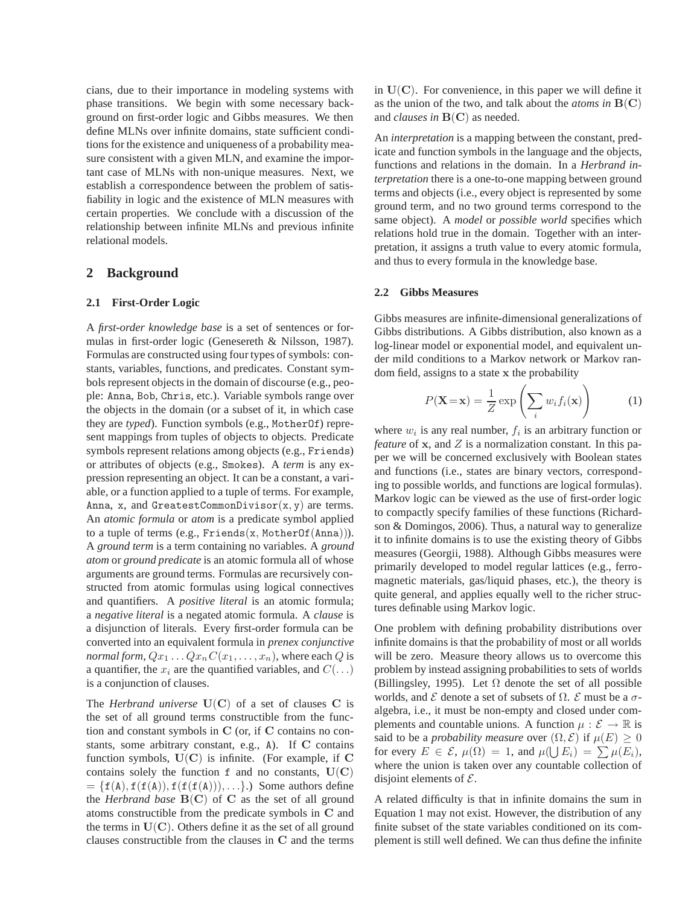cians, due to their importance in modeling systems with phase transitions. We begin with some necessary background on first-order logic and Gibbs measures. We then define MLNs over infinite domains, state sufficient conditions for the existence and uniqueness of a probability measure consistent with a given MLN, and examine the important case of MLNs with non-unique measures. Next, we establish a correspondence between the problem of satisfiability in logic and the existence of MLN measures with certain properties. We conclude with a discussion of the relationship between infinite MLNs and previous infinite relational models.

# **2 Background**

#### **2.1 First-Order Logic**

A *first-order knowledge base* is a set of sentences or formulas in first-order logic (Genesereth & Nilsson, 1987). Formulas are constructed using four types of symbols: constants, variables, functions, and predicates. Constant symbols represent objects in the domain of discourse (e.g., people: Anna, Bob, Chris, etc.). Variable symbols range over the objects in the domain (or a subset of it, in which case they are *typed*). Function symbols (e.g., MotherOf) represent mappings from tuples of objects to objects. Predicate symbols represent relations among objects (e.g., Friends) or attributes of objects (e.g., Smokes). A *term* is any expression representing an object. It can be a constant, a variable, or a function applied to a tuple of terms. For example, Anna, x, and GreatestCommonDivisor $(x, y)$  are terms. An *atomic formula* or *atom* is a predicate symbol applied to a tuple of terms (e.g., Friends(x, MotherOf(Anna))). A *ground term* is a term containing no variables. A *ground atom* or *ground predicate* is an atomic formula all of whose arguments are ground terms. Formulas are recursively constructed from atomic formulas using logical connectives and quantifiers. A *positive literal* is an atomic formula; a *negative literal* is a negated atomic formula. A *clause* is a disjunction of literals. Every first-order formula can be converted into an equivalent formula in *prenex conjunctive normal form*,  $Qx_1 \ldots Qx_nC(x_1,\ldots,x_n)$ , where each Q is a quantifier, the  $x_i$  are the quantified variables, and  $C(\ldots)$ is a conjunction of clauses.

The *Herbrand universe*  $U(C)$  of a set of clauses C is the set of all ground terms constructible from the function and constant symbols in C (or, if C contains no constants, some arbitrary constant, e.g., A). If C contains function symbols,  $U(C)$  is infinite. (For example, if C contains solely the function  $f$  and no constants,  $U(C)$  $= \{f(A), f(f(A)), f(f(f(A))), \ldots\}$ .) Some authors define the *Herbrand base*  $B(C)$  of C as the set of all ground atoms constructible from the predicate symbols in C and the terms in  $U(C)$ . Others define it as the set of all ground clauses constructible from the clauses in C and the terms

in  $U(C)$ . For convenience, in this paper we will define it as the union of the two, and talk about the *atoms in*  $B(C)$ and *clauses in* B(C) as needed.

An *interpretation* is a mapping between the constant, predicate and function symbols in the language and the objects, functions and relations in the domain. In a *Herbrand interpretation* there is a one-to-one mapping between ground terms and objects (i.e., every object is represented by some ground term, and no two ground terms correspond to the same object). A *model* or *possible world* specifies which relations hold true in the domain. Together with an interpretation, it assigns a truth value to every atomic formula, and thus to every formula in the knowledge base.

#### **2.2 Gibbs Measures**

Gibbs measures are infinite-dimensional generalizations of Gibbs distributions. A Gibbs distribution, also known as a log-linear model or exponential model, and equivalent under mild conditions to a Markov network or Markov random field, assigns to a state x the probability

$$
P(\mathbf{X} = \mathbf{x}) = \frac{1}{Z} \exp\left(\sum_{i} w_i f_i(\mathbf{x})\right) \tag{1}
$$

where  $w_i$  is any real number,  $f_i$  is an arbitrary function or *feature* of  $x$ , and  $Z$  is a normalization constant. In this paper we will be concerned exclusively with Boolean states and functions (i.e., states are binary vectors, corresponding to possible worlds, and functions are logical formulas). Markov logic can be viewed as the use of first-order logic to compactly specify families of these functions (Richardson & Domingos, 2006). Thus, a natural way to generalize it to infinite domains is to use the existing theory of Gibbs measures (Georgii, 1988). Although Gibbs measures were primarily developed to model regular lattices (e.g., ferromagnetic materials, gas/liquid phases, etc.), the theory is quite general, and applies equally well to the richer structures definable using Markov logic.

One problem with defining probability distributions over infinite domains is that the probability of most or all worlds will be zero. Measure theory allows us to overcome this problem by instead assigning probabilities to sets of worlds (Billingsley, 1995). Let  $\Omega$  denote the set of all possible worlds, and  $\mathcal E$  denote a set of subsets of  $\Omega$ .  $\mathcal E$  must be a  $\sigma$ algebra, i.e., it must be non-empty and closed under complements and countable unions. A function  $\mu : \mathcal{E} \to \mathbb{R}$  is said to be a *probability measure* over  $(\Omega, \mathcal{E})$  if  $\mu(E) \geq 0$ for every  $E \in \mathcal{E}$ ,  $\mu(\Omega) = 1$ , and  $\mu(\bigcup E_i) = \sum \mu(E_i)$ , where the union is taken over any countable collection of disjoint elements of  $\mathcal{E}$ .

A related difficulty is that in infinite domains the sum in Equation 1 may not exist. However, the distribution of any finite subset of the state variables conditioned on its complement is still well defined. We can thus define the infinite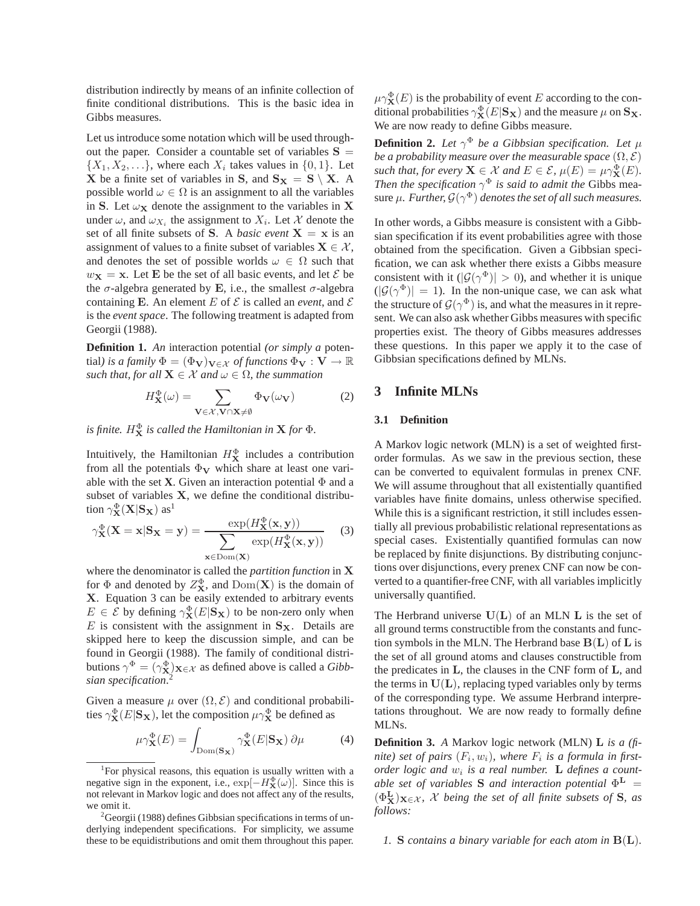distribution indirectly by means of an infinite collection of finite conditional distributions. This is the basic idea in Gibbs measures.

Let us introduce some notation which will be used throughout the paper. Consider a countable set of variables  $S =$  $\{X_1, X_2, \ldots\}$ , where each  $X_i$  takes values in  $\{0, 1\}$ . Let **X** be a finite set of variables in **S**, and  $S_X = S \setminus X$ . A possible world  $\omega \in \Omega$  is an assignment to all the variables in S. Let  $\omega_X$  denote the assignment to the variables in X under  $\omega$ , and  $\omega_{X_i}$  the assignment to  $X_i$ . Let X denote the set of all finite subsets of **S**. A *basic event*  $X = x$  is an assignment of values to a finite subset of variables  $X \in \mathcal{X}$ , and denotes the set of possible worlds  $\omega \in \Omega$  such that  $w_{\mathbf{X}} = \mathbf{x}$ . Let **E** be the set of all basic events, and let  $\mathcal{E}$  be the  $\sigma$ -algebra generated by E, i.e., the smallest  $\sigma$ -algebra containing E. An element E of  $\mathcal E$  is called an *event*, and  $\mathcal E$ is the *event space*. The following treatment is adapted from Georgii (1988).

**Definition 1.** *An* interaction potential *(or simply a* potential*)* is a family  $\Phi = (\Phi_{\mathbf{V}})_{\mathbf{V} \in \mathcal{X}}$  of functions  $\Phi_{\mathbf{V}} : \mathbf{V} \to \mathbb{R}$ *such that, for all*  $X \in \mathcal{X}$  *and*  $\omega \in \Omega$ *, the summation* 

$$
H_{\mathbf{X}}^{\Phi}(\omega) = \sum_{\mathbf{V} \in \mathcal{X}, \mathbf{V} \cap \mathbf{X} \neq \emptyset} \Phi_{\mathbf{V}}(\omega_{\mathbf{V}})
$$
(2)

is finite.  $H^{\Phi}_{\bf X}$  is called the Hamiltonian in  ${\bf X}$  for  $\Phi$ .

Intuitively, the Hamiltonian  $H_{\bf X}^{\Phi}$  includes a contribution from all the potentials  $\Phi_V$  which share at least one variable with the set **X**. Given an interaction potential  $\Phi$  and a subset of variables X, we define the conditional distribution  $\gamma_{\mathbf{X}}^{\Phi}(\mathbf{X}|\mathbf{S}_{\mathbf{X}})$  as<sup>1</sup>

$$
\gamma_{\mathbf{X}}^{\Phi}(\mathbf{X} = \mathbf{x} | \mathbf{S}_{\mathbf{X}} = \mathbf{y}) = \frac{\exp(H_{\mathbf{X}}^{\Phi}(\mathbf{x}, \mathbf{y}))}{\sum_{\mathbf{x} \in \text{Dom}(\mathbf{X})} \exp(H_{\mathbf{X}}^{\Phi}(\mathbf{x}, \mathbf{y}))}
$$
(3)

where the denominator is called the *partition function* in X for  $\Phi$  and denoted by  $Z_{\mathbf{X}}^{\Phi}$ , and  $\text{Dom}(\mathbf{X})$  is the domain of X. Equation 3 can be easily extended to arbitrary events  $E \in \mathcal{E}$  by defining  $\gamma_{\mathbf{X}}^{\Phi}(E|\mathbf{S}_{\mathbf{X}})$  to be non-zero only when  $E$  is consistent with the assignment in  $S_X$ . Details are skipped here to keep the discussion simple, and can be found in Georgii (1988). The family of conditional distributions  $\gamma^{\Phi} = (\gamma^{\Phi}_{\mathbf{X}})_{\mathbf{X} \in \mathcal{X}}$  as defined above is called a *Gibbsian specification*. 2

Given a measure  $\mu$  over  $(\Omega, \mathcal{E})$  and conditional probabilities  $\gamma_{\bf X}^{\Phi}(E|{\bf S}_{\bf X})$ , let the composition  $\mu\gamma_{\bf X}^{\Phi}$  be defined as

$$
\mu \gamma_{\mathbf{X}}^{\Phi}(E) = \int_{\text{Dom}(\mathbf{S}_{\mathbf{X}})} \gamma_{\mathbf{X}}^{\Phi}(E|\mathbf{S}_{\mathbf{X}}) \partial \mu \tag{4}
$$

 $\mu\gamma_{\bf X}^{\Phi}(E)$  is the probability of event E according to the conditional probabilities  $\gamma_{\bf X}^\Phi(E|{\bf S}_{\bf X})$  and the measure  $\mu$  on  ${\bf S}_{\bf X}.$ We are now ready to define Gibbs measure.

**Definition 2.** Let  $\gamma^{\Phi}$  be a Gibbsian specification. Let  $\mu$ *be a probability measure over the measurable space*  $(\Omega, \mathcal{E})$ *such that, for every*  $X \in \mathcal{X}$  *and*  $E \in \mathcal{E}$ ,  $\mu(E) = \mu \gamma_{X}^{\Phi}(E)$ . *Then the specification*  $\gamma^{\Phi}$  *is said to admit the Gibbs mea*sure  $\mu$ *. Further,*  $\mathcal{G}(\gamma^{\Phi})$  *denotes the set of all such measures.* 

In other words, a Gibbs measure is consistent with a Gibbsian specification if its event probabilities agree with those obtained from the specification. Given a Gibbsian specification, we can ask whether there exists a Gibbs measure consistent with it  $(|\mathcal{G}(\gamma^{\Phi})| > 0)$ , and whether it is unique  $(|\mathcal{G}(\gamma^{\Phi})| = 1)$ . In the non-unique case, we can ask what the structure of  $\mathcal{G}(\gamma^{\Phi})$  is, and what the measures in it represent. We can also ask whether Gibbs measures with specific properties exist. The theory of Gibbs measures addresses these questions. In this paper we apply it to the case of Gibbsian specifications defined by MLNs.

# **3 Infinite MLNs**

### **3.1 Definition**

A Markov logic network (MLN) is a set of weighted firstorder formulas. As we saw in the previous section, these can be converted to equivalent formulas in prenex CNF. We will assume throughout that all existentially quantified variables have finite domains, unless otherwise specified. While this is a significant restriction, it still includes essentially all previous probabilistic relational representations as special cases. Existentially quantified formulas can now be replaced by finite disjunctions. By distributing conjunctions over disjunctions, every prenex CNF can now be converted to a quantifier-free CNF, with all variables implicitly universally quantified.

The Herbrand universe  $U(L)$  of an MLN L is the set of all ground terms constructible from the constants and function symbols in the MLN. The Herbrand base  $B(L)$  of L is the set of all ground atoms and clauses constructible from the predicates in L, the clauses in the CNF form of L, and the terms in  $U(L)$ , replacing typed variables only by terms of the corresponding type. We assume Herbrand interpretations throughout. We are now ready to formally define MLNs.

**Definition 3.** *A* Markov logic network (MLN) L *is a (fi*nite) set of pairs  $(F_i, w_i)$ , where  $F_i$  is a formula in first*order logic and* w<sup>i</sup> *is a real number.* L *defines a count*able set of variables **S** and interaction potential  $\Phi^{\mathbf{L}}$  =  $(\Phi_{\mathbf{X}}^{\mathbf{L}})_{\mathbf{X}\in\mathcal{X}}$ ,  $\mathcal{X}$  being the set of all finite subsets of **S**, as *follows:*

*1.* S *contains a binary variable for each atom in* B(L)*.*

<sup>&</sup>lt;sup>1</sup>For physical reasons, this equation is usually written with a negative sign in the exponent, i.e.,  $\exp[-H_{\mathbf{X}}^{\Phi}(\omega)]$ . Since this is not relevant in Markov logic and does not affect any of the results, we omit it.

 $2^2$ Georgii (1988) defines Gibbsian specifications in terms of underlying independent specifications. For simplicity, we assume these to be equidistributions and omit them throughout this paper.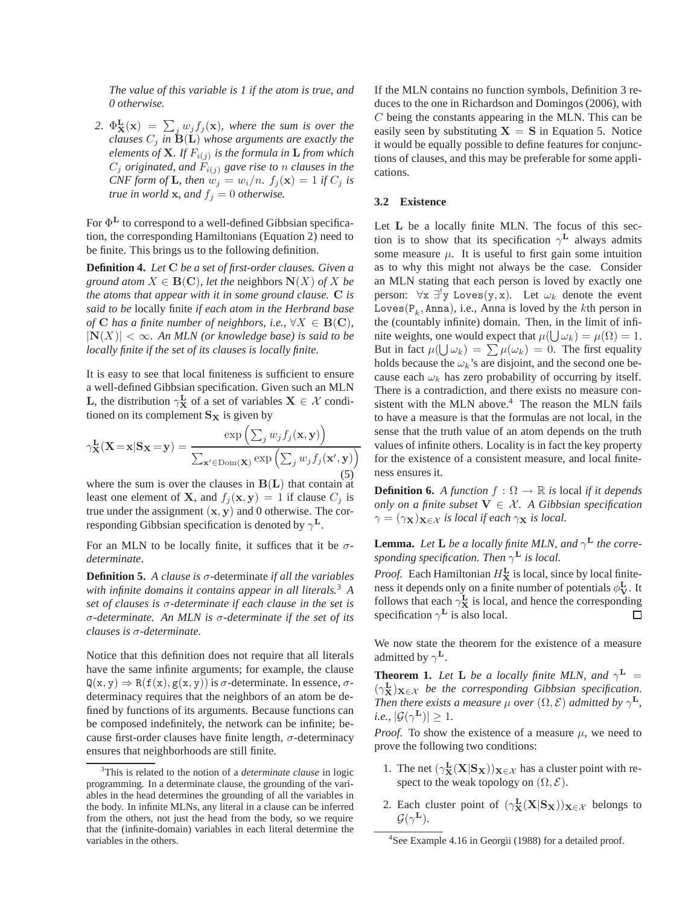*The value of this variable is 1 if the atom is true, and 0 otherwise.*

2.  $\Phi_{\mathbf{X}}^{\mathbf{L}}(\mathbf{x}) = \sum_j w_j f_j(\mathbf{x})$ , where the sum is over the *clauses*  $C_j$  *in*  $\mathbf{\dot{B}}(\mathbf{L})$  *whose arguments are exactly the elements of* X*. If* Fi(j) *is the formula in* L *from which*  $C_j$  *originated, and*  $F_{i(j)}$  *gave rise to n clauses in the CNF form of* **L***, then*  $w_j = w_i/n$ *.*  $f_j(\mathbf{x}) = 1$  *if*  $C_j$  *is true in world* **x***, and*  $f_j = 0$  *otherwise.* 

For  $\Phi^L$  to correspond to a well-defined Gibbsian specification, the corresponding Hamiltonians (Equation 2) need to be finite. This brings us to the following definition.

**Definition 4.** *Let* C *be a set of first-order clauses. Given a ground atom*  $X \in \mathbf{B}(\mathbf{C})$ *, let the neighbors*  $\mathbf{N}(X)$  *of*  $X$  *be the atoms that appear with it in some ground clause.* C *is said to be* locally finite *if each atom in the Herbrand base of* **C** has a finite number of neighbors, i.e.,  $\forall X \in \mathbf{B}(\mathbf{C})$ ,  $|N(X)| < \infty$ *. An MLN (or knowledge base) is said to be locally finite if the set of its clauses is locally finite.*

It is easy to see that local finiteness is sufficient to ensure a well-defined Gibbsian specification. Given such an MLN **L**, the distribution  $\gamma_{\mathbf{X}}^{\mathbf{L}}$  of a set of variables  $\mathbf{X} \in \mathcal{X}$  conditioned on its complement  $S_X$  is given by

$$
\gamma_{\mathbf{X}}^{\mathbf{L}}(\mathbf{X}=\mathbf{x}|\mathbf{S}_{\mathbf{X}}=\mathbf{y}) = \frac{\exp\left(\sum_{j} w_{j} f_{j}(\mathbf{x}, \mathbf{y})\right)}{\sum_{\mathbf{x}' \in \text{Dom}(\mathbf{X})} \exp\left(\sum_{j} w_{j} f_{j}(\mathbf{x}', \mathbf{y})\right)}
$$
\n(5)

where the sum is over the clauses in  $B(L)$  that contain at least one element of **X**, and  $f_i$ **(x, y)** = 1 if clause  $C_i$  is true under the assignment  $(x, y)$  and 0 otherwise. The corresponding Gibbsian specification is denoted by  $\gamma^L$ .

For an MLN to be locally finite, it suffices that it be σ*determinate*.

**Definition 5.** *A clause is* σ-determinate *if all the variables with infinite domains it contains appear in all literals.*<sup>3</sup> *A set of clauses is* σ*-determinate if each clause in the set is* σ*-determinate. An MLN is* σ*-determinate if the set of its clauses is* σ*-determinate.*

Notice that this definition does not require that all literals have the same infinite arguments; for example, the clause  $Q(x, y) \Rightarrow R(f(x), g(x, y))$  is  $\sigma$ -determinate. In essence,  $\sigma$ determinacy requires that the neighbors of an atom be defined by functions of its arguments. Because functions can be composed indefinitely, the network can be infinite; because first-order clauses have finite length,  $\sigma$ -determinacy ensures that neighborhoods are still finite.

If the MLN contains no function symbols, Definition 3 reduces to the one in Richardson and Domingos (2006), with C being the constants appearing in the MLN. This can be easily seen by substituting  $X = S$  in Equation 5. Notice it would be equally possible to define features for conjunctions of clauses, and this may be preferable for some applications.

### **3.2 Existence**

Let L be a locally finite MLN. The focus of this section is to show that its specification  $\gamma^L$  always admits some measure  $\mu$ . It is useful to first gain some intuition as to why this might not always be the case. Consider an MLN stating that each person is loved by exactly one person:  $\forall x \exists^{!}y \text{ Loves}(y, x)$ . Let  $\omega_k$  denote the event Loves $(\mathsf{P}_k, \mathtt{Anna}),$  i.e., Anna is loved by the  $k$ th person in the (countably infinite) domain. Then, in the limit of infinite weights, one would expect that  $\mu(\bigcup \omega_k) = \mu(\Omega) = 1$ . But in fact  $\mu(\bigcup \omega_k) = \sum \mu(\omega_k) = 0$ . The first equality holds because the  $\omega_k$ 's are disjoint, and the second one because each  $\omega_k$  has zero probability of occurring by itself. There is a contradiction, and there exists no measure consistent with the MLN above. $4$  The reason the MLN fails to have a measure is that the formulas are not local, in the sense that the truth value of an atom depends on the truth values of infinite others. Locality is in fact the key property for the existence of a consistent measure, and local finiteness ensures it.

**Definition 6.** *A function*  $f : \Omega \to \mathbb{R}$  *is* local *if it depends only on a finite subset*  $V \in \mathcal{X}$ . A Gibbsian specification  $\gamma = (\gamma_{\mathbf{X}})_{\mathbf{X} \in \mathcal{X}}$  *is local if each*  $\gamma_{\mathbf{X}}$  *is local.* 

**Lemma.** Let **L** be a locally finite MLN, and  $\gamma^{\mathbf{L}}$  the corre*sponding specification. Then* γ <sup>L</sup> *is local.*

*Proof.* Each Hamiltonian  $H_X^{\mathbf{L}}$  is local, since by local finiteness it depends only on a finite number of potentials  $\phi_{\mathbf{V}}^{\mathbf{L}}$ . It follows that each  $\gamma_{\mathbf{x}}^{\mathbf{L}}$  is local, and hence the corresponding specification  $\gamma^L$  is also local. П

We now state the theorem for the existence of a measure admitted by  $\gamma^{\mathbf{L}}$ .

**Theorem 1.** Let **L** be a locally finite MLN, and  $\gamma^{\mathbf{L}} =$  $(\gamma_{\mathbf{X}}^{\mathbf{L}})_{\mathbf{X}\in\mathcal{X}}$  *be the corresponding Gibbsian specification. Then there exists a measure*  $\mu$  *over*  $(\Omega, \mathcal{E})$  *admitted by*  $\gamma^{\mathbf{L}}$ *, i.e.*,  $|\mathcal{G}(\gamma^{\mathbf{L}})| \geq 1$ .

*Proof.* To show the existence of a measure  $\mu$ , we need to prove the following two conditions:

- 1. The net  $(\gamma_X^{\mathbf{L}}(\mathbf{X}|\mathbf{S_X}))_{\mathbf{X}\in\mathcal{X}}$  has a cluster point with respect to the weak topology on  $(\Omega, \mathcal{E})$ .
- 2. Each cluster point of  $(\gamma^L_X(X|S_X))_{X \in \mathcal{X}}$  belongs to  $\mathcal{G}(\gamma^{\mathbf{L}}).$

<sup>3</sup>This is related to the notion of a *determinate clause* in logic programming. In a determinate clause, the grounding of the variables in the head determines the grounding of all the variables in the body. In infinite MLNs, any literal in a clause can be inferred from the others, not just the head from the body, so we require that the (infinite-domain) variables in each literal determine the variables in the others.

<sup>&</sup>lt;sup>4</sup>See Example 4.16 in Georgii (1988) for a detailed proof.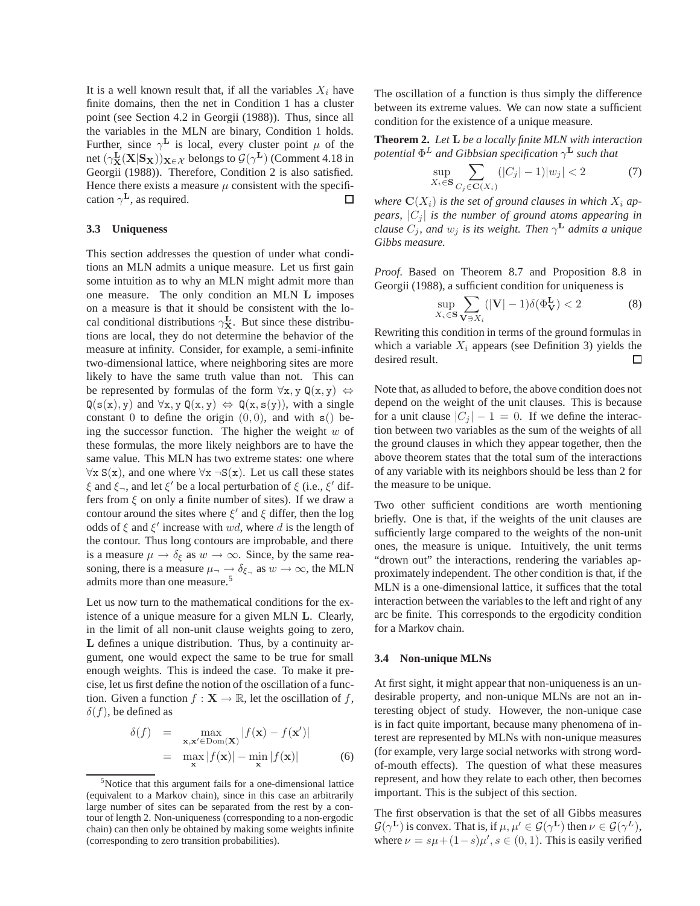It is a well known result that, if all the variables  $X_i$  have finite domains, then the net in Condition 1 has a cluster point (see Section 4.2 in Georgii (1988)). Thus, since all the variables in the MLN are binary, Condition 1 holds. Further, since  $\gamma^L$  is local, every cluster point  $\mu$  of the net  $(\gamma_{\mathbf{X}}^{\mathbf{L}}(\mathbf{X}|\mathbf{S}_{\mathbf{X}}))_{\mathbf{X}\in\mathcal{X}}$  belongs to  $\mathcal{G}(\gamma^{\mathbf{L}})$  (Comment 4.18 in Georgii (1988)). Therefore, Condition 2 is also satisfied. Hence there exists a measure  $\mu$  consistent with the specification  $\gamma^{\mathbf{L}}$ , as required.  $\Box$ 

#### **3.3 Uniqueness**

This section addresses the question of under what conditions an MLN admits a unique measure. Let us first gain some intuition as to why an MLN might admit more than one measure. The only condition an MLN L imposes on a measure is that it should be consistent with the local conditional distributions  $\gamma_{\mathbf{X}}^{\mathbf{L}}$ . But since these distributions are local, they do not determine the behavior of the measure at infinity. Consider, for example, a semi-infinite two-dimensional lattice, where neighboring sites are more likely to have the same truth value than not. This can be represented by formulas of the form  $\forall x, y \ Q(x, y) \Leftrightarrow$  $Q(s(x), y)$  and  $\forall x, y \ Q(x, y) \Leftrightarrow Q(x, s(y))$ , with a single constant 0 to define the origin  $(0, 0)$ , and with  $s()$  being the successor function. The higher the weight  $w$  of these formulas, the more likely neighbors are to have the same value. This MLN has two extreme states: one where  $\forall x S(x)$ , and one where  $\forall x \neg S(x)$ . Let us call these states  $\xi$  and  $\xi$ <sub>¬</sub>, and let  $\xi'$  be a local perturbation of  $\xi$  (i.e.,  $\xi'$  differs from  $\xi$  on only a finite number of sites). If we draw a contour around the sites where  $\xi'$  and  $\xi$  differ, then the log odds of  $\xi$  and  $\xi'$  increase with wd, where d is the length of the contour. Thus long contours are improbable, and there is a measure  $\mu \to \delta_{\xi}$  as  $w \to \infty$ . Since, by the same reasoning, there is a measure  $\mu_{\neg} \to \delta_{\xi_{\neg}}$  as  $w \to \infty$ , the MLN admits more than one measure.<sup>5</sup>

Let us now turn to the mathematical conditions for the existence of a unique measure for a given MLN L. Clearly, in the limit of all non-unit clause weights going to zero, L defines a unique distribution. Thus, by a continuity argument, one would expect the same to be true for small enough weights. This is indeed the case. To make it precise, let us first define the notion of the oscillation of a function. Given a function  $f : \mathbf{X} \to \mathbb{R}$ , let the oscillation of f,  $\delta(f)$ , be defined as

$$
\delta(f) = \max_{\mathbf{x}, \mathbf{x}' \in \text{Dom}(\mathbf{X})} |f(\mathbf{x}) - f(\mathbf{x}')|
$$
  
= 
$$
\max_{\mathbf{x}} |f(\mathbf{x})| - \min_{\mathbf{x}} |f(\mathbf{x})|
$$
(6)

The oscillation of a function is thus simply the difference between its extreme values. We can now state a sufficient condition for the existence of a unique measure.

**Theorem 2.** *Let* L *be a locally finite MLN with interaction potential* Φ <sup>L</sup> *and Gibbsian specification* γ <sup>L</sup> *such that*

$$
\sup_{X_i \in \mathbf{S}} \sum_{C_j \in \mathbf{C}(X_i)} (|C_j| - 1)|w_j| < 2 \tag{7}
$$

where  $\mathbf{C}(X_i)$  *is the set of ground clauses in which*  $X_i$  *appears,*  $|C_i|$  *is the number of ground atoms appearing in clause*  $C_j$ , and  $w_j$  *is its weight. Then*  $\gamma^{\mathbf{L}}$  *admits a unique Gibbs measure.*

*Proof.* Based on Theorem 8.7 and Proposition 8.8 in Georgii (1988), a sufficient condition for uniqueness is

$$
\sup_{X_i \in \mathbf{S}} \sum_{\mathbf{V} \ni X_i} (|\mathbf{V}| - 1) \delta(\Phi_{\mathbf{V}}^{\mathbf{L}}) < 2 \tag{8}
$$

Rewriting this condition in terms of the ground formulas in which a variable  $X_i$  appears (see Definition 3) yields the desired result. □

Note that, as alluded to before, the above condition does not depend on the weight of the unit clauses. This is because for a unit clause  $|C_j| - 1 = 0$ . If we define the interaction between two variables as the sum of the weights of all the ground clauses in which they appear together, then the above theorem states that the total sum of the interactions of any variable with its neighbors should be less than 2 for the measure to be unique.

Two other sufficient conditions are worth mentioning briefly. One is that, if the weights of the unit clauses are sufficiently large compared to the weights of the non-unit ones, the measure is unique. Intuitively, the unit terms "drown out" the interactions, rendering the variables approximately independent. The other condition is that, if the MLN is a one-dimensional lattice, it suffices that the total interaction between the variables to the left and right of any arc be finite. This corresponds to the ergodicity condition for a Markov chain.

### **3.4 Non-unique MLNs**

At first sight, it might appear that non-uniqueness is an undesirable property, and non-unique MLNs are not an interesting object of study. However, the non-unique case is in fact quite important, because many phenomena of interest are represented by MLNs with non-unique measures (for example, very large social networks with strong wordof-mouth effects). The question of what these measures represent, and how they relate to each other, then becomes important. This is the subject of this section.

The first observation is that the set of all Gibbs measures  $\mathcal{G}(\gamma^{\mathbf{L}})$  is convex. That is, if  $\mu, \mu' \in \mathcal{G}(\gamma^{\mathbf{L}})$  then  $\nu \in \mathcal{G}(\gamma^L)$ , where  $\nu = s\mu + (1 - s)\mu'$ ,  $s \in (0, 1)$ . This is easily verified

<sup>5</sup>Notice that this argument fails for a one-dimensional lattice (equivalent to a Markov chain), since in this case an arbitrarily large number of sites can be separated from the rest by a contour of length 2. Non-uniqueness (corresponding to a non-ergodic chain) can then only be obtained by making some weights infinite (corresponding to zero transition probabilities).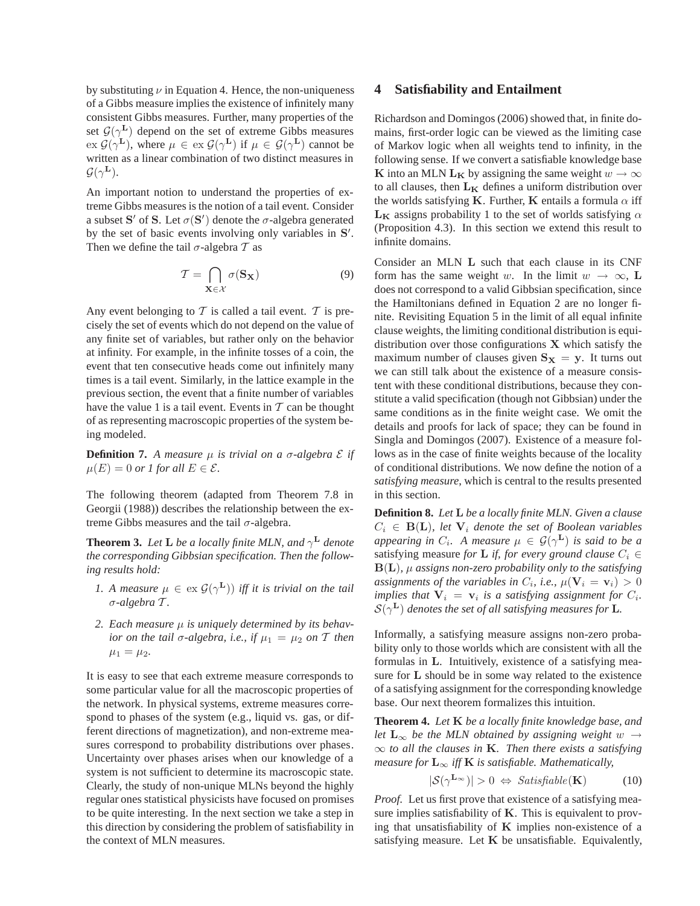by substituting  $\nu$  in Equation 4. Hence, the non-uniqueness of a Gibbs measure implies the existence of infinitely many consistent Gibbs measures. Further, many properties of the set  $\mathcal{G}(\gamma^{\mathbf{L}})$  depend on the set of extreme Gibbs measures  $\operatorname{ex} \mathcal{G}(\gamma^{\mathbf{L}})$ , where  $\mu \in \operatorname{ex} \mathcal{G}(\gamma^{\mathbf{L}})$  if  $\mu \in \mathcal{G}(\gamma^{\mathbf{L}})$  cannot be written as a linear combination of two distinct measures in  $\mathcal{G}(\gamma^{\mathbf{L}}).$ 

An important notion to understand the properties of extreme Gibbs measures is the notion of a tail event. Consider a subset S' of S. Let  $\sigma(S')$  denote the  $\sigma$ -algebra generated by the set of basic events involving only variables in S'. Then we define the tail  $\sigma$ -algebra  $\mathcal T$  as

$$
\mathcal{T} = \bigcap_{\mathbf{X} \in \mathcal{X}} \sigma(\mathbf{S}_{\mathbf{X}})
$$
\n(9)

Any event belonging to  $T$  is called a tail event.  $T$  is precisely the set of events which do not depend on the value of any finite set of variables, but rather only on the behavior at infinity. For example, in the infinite tosses of a coin, the event that ten consecutive heads come out infinitely many times is a tail event. Similarly, in the lattice example in the previous section, the event that a finite number of variables have the value 1 is a tail event. Events in  $T$  can be thought of as representing macroscopic properties of the system being modeled.

**Definition 7.** A measure  $\mu$  is trivial on a  $\sigma$ -algebra  $\mathcal{E}$  if  $\mu(E) = 0$  *or 1 for all*  $E \in \mathcal{E}$ *.* 

The following theorem (adapted from Theorem 7.8 in Georgii (1988)) describes the relationship between the extreme Gibbs measures and the tail  $\sigma$ -algebra.

**Theorem 3.** Let **L** be a locally finite MLN, and  $\gamma^{\mathbf{L}}$  denote *the corresponding Gibbsian specification. Then the following results hold:*

- *1.* A measure  $\mu \in \text{ex } \mathcal{G}(\gamma^{\mathbf{L}})$  *iff it is trivial on the tail* σ*-algebra* T *.*
- *2. Each measure* µ *is uniquely determined by its behavior on the tail*  $\sigma$ -algebra, *i.e., if*  $\mu_1 = \mu_2$  *on*  $\mathcal T$  *then*  $\mu_1 = \mu_2.$

It is easy to see that each extreme measure corresponds to some particular value for all the macroscopic properties of the network. In physical systems, extreme measures correspond to phases of the system (e.g., liquid vs. gas, or different directions of magnetization), and non-extreme measures correspond to probability distributions over phases. Uncertainty over phases arises when our knowledge of a system is not sufficient to determine its macroscopic state. Clearly, the study of non-unique MLNs beyond the highly regular ones statistical physicists have focused on promises to be quite interesting. In the next section we take a step in this direction by considering the problem of satisfiability in the context of MLN measures.

# **4 Satisfiability and Entailment**

Richardson and Domingos (2006) showed that, in finite domains, first-order logic can be viewed as the limiting case of Markov logic when all weights tend to infinity, in the following sense. If we convert a satisfiable knowledge base K into an MLN L<sub>K</sub> by assigning the same weight  $w \to \infty$ to all clauses, then  $L_K$  defines a uniform distribution over the worlds satisfying K. Further, K entails a formula  $\alpha$  iff  $L_K$  assigns probability 1 to the set of worlds satisfying  $\alpha$ (Proposition 4.3). In this section we extend this result to infinite domains.

Consider an MLN L such that each clause in its CNF form has the same weight w. In the limit  $w \to \infty$ , L does not correspond to a valid Gibbsian specification, since the Hamiltonians defined in Equation 2 are no longer finite. Revisiting Equation 5 in the limit of all equal infinite clause weights, the limiting conditional distribution is equidistribution over those configurations  $X$  which satisfy the maximum number of clauses given  $S_X = y$ . It turns out we can still talk about the existence of a measure consistent with these conditional distributions, because they constitute a valid specification (though not Gibbsian) under the same conditions as in the finite weight case. We omit the details and proofs for lack of space; they can be found in Singla and Domingos (2007). Existence of a measure follows as in the case of finite weights because of the locality of conditional distributions. We now define the notion of a *satisfying measure*, which is central to the results presented in this section.

**Definition 8.** *Let* L *be a locally finite MLN. Given a clause*  $C_i \in B(L)$ *, let*  $V_i$  *denote the set of Boolean variables appearing in*  $C_i$ . A measure  $\mu \in \mathcal{G}(\gamma^{\mathbf{L}})$  is said to be a satisfying measure *for* **L** *if, for every ground clause*  $C_i \in$  $B(L)$ ,  $\mu$  *assigns non-zero probability only to the satisfying* assignments of the variables in  $C_i$ , i.e.,  $\mu(\mathbf{V}_i = \mathbf{v}_i) > 0$ *implies that*  $V_i = v_i$  *is a satisfying assignment for*  $C_i$ *.*  $\mathcal{S}(\gamma^{\textbf{L}})$  denotes the set of all satisfying measures for **L**.

Informally, a satisfying measure assigns non-zero probability only to those worlds which are consistent with all the formulas in L. Intuitively, existence of a satisfying measure for L should be in some way related to the existence of a satisfying assignment for the corresponding knowledge base. Our next theorem formalizes this intuition.

**Theorem 4.** *Let* K *be a locally finite knowledge base, and let*  $L_{\infty}$  *be the MLN obtained by assigning weight*  $w \rightarrow$ ∞ *to all the clauses in* K*. Then there exists a satisfying measure for*  $L_{\infty}$  *iff* **K** *is satisfiable. Mathematically,* 

$$
|\mathcal{S}(\gamma^{\mathbf{L}_{\infty}})| > 0 \Leftrightarrow \mathit{Satisfiable}(\mathbf{K})
$$
 (10)

*Proof.* Let us first prove that existence of a satisfying measure implies satisfiability of  $K$ . This is equivalent to proving that unsatisfiability of  $K$  implies non-existence of a satisfying measure. Let  $K$  be unsatisfiable. Equivalently,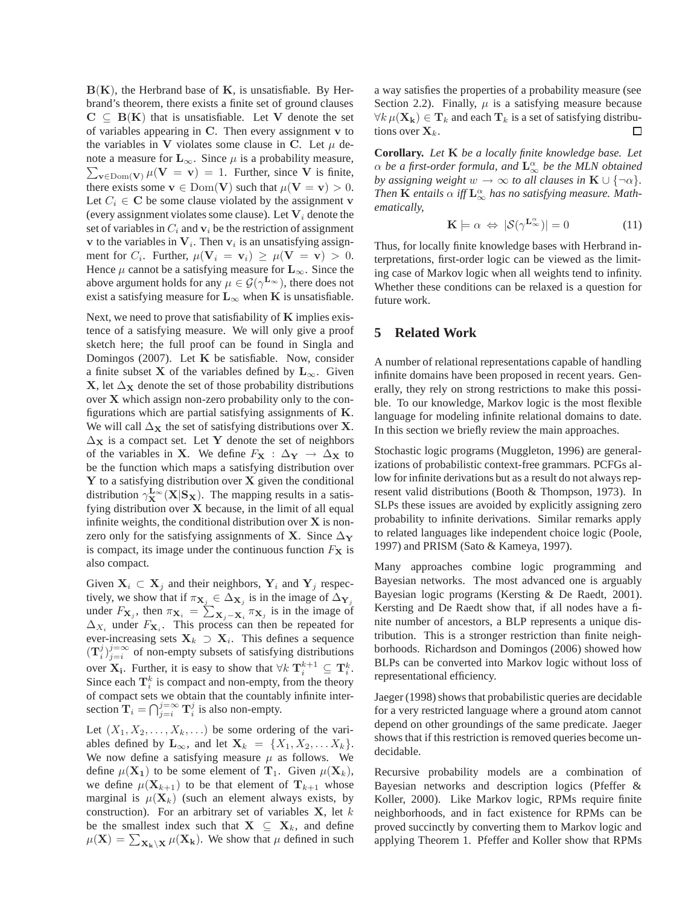$B(K)$ , the Herbrand base of K, is unsatisfiable. By Herbrand's theorem, there exists a finite set of ground clauses  $C \subseteq B(K)$  that is unsatisfiable. Let V denote the set of variables appearing in C. Then every assignment v to the variables in V violates some clause in C. Let  $\mu$  denote a measure for  $\mathbf{L}_{\infty}$ . Since  $\mu$  is a probability measure,  $\sum_{\mathbf{v} \in \text{Dom}(\mathbf{V})} \mu(\mathbf{V} = \mathbf{v}) = 1$ . Further, since V is finite, there exists some  $\mathbf{v} \in \text{Dom}(\mathbf{V})$  such that  $\mu(\mathbf{V} = \mathbf{v}) > 0$ . Let  $C_i \in \mathbf{C}$  be some clause violated by the assignment v (every assignment violates some clause). Let  $V_i$  denote the set of variables in  $C_i$  and  $v_i$  be the restriction of assignment **v** to the variables in  $V_i$ . Then  $v_i$  is an unsatisfying assignment for  $C_i$ . Further,  $\mu(\mathbf{V}_i = \mathbf{v}_i) \ge \mu(\mathbf{V} = \mathbf{v}) > 0$ . Hence  $\mu$  cannot be a satisfying measure for  $\mathbf{L}_{\infty}$ . Since the above argument holds for any  $\mu \in \mathcal{G}(\gamma^{\mathbf{L}_{\infty}})$ , there does not exist a satisfying measure for  $L_{\infty}$  when K is unsatisfiable.

Next, we need to prove that satisfiability of  $K$  implies existence of a satisfying measure. We will only give a proof sketch here; the full proof can be found in Singla and Domingos (2007). Let  $K$  be satisfiable. Now, consider a finite subset X of the variables defined by  $L_{\infty}$ . Given X, let  $\Delta_X$  denote the set of those probability distributions over X which assign non-zero probability only to the configurations which are partial satisfying assignments of K. We will call  $\Delta_X$  the set of satisfying distributions over X.  $\Delta$ <sub>X</sub> is a compact set. Let Y denote the set of neighbors of the variables in X. We define  $F_X : \Delta_Y \to \Delta_X$  to be the function which maps a satisfying distribution over  $Y$  to a satisfying distribution over  $X$  given the conditional distribution  $\gamma_{\mathbf{X}}^{\mathbf{L}_{\infty}}(\mathbf{X}|\mathbf{S}_{\mathbf{X}})$ . The mapping results in a satisfying distribution over  $X$  because, in the limit of all equal infinite weights, the conditional distribution over  $X$  is nonzero only for the satisfying assignments of X. Since  $\Delta_Y$ is compact, its image under the continuous function  $F<sub>X</sub>$  is also compact.

Given  $X_i \subset X_j$  and their neighbors,  $Y_i$  and  $Y_j$  respectively, we show that if  $\pi_{\mathbf{X}_j} \in \Delta_{\mathbf{X}_j}$  is in the image of  $\Delta_{\mathbf{Y}_j}$ under  $F_{\mathbf{X}_j}$ , then  $\pi_{\mathbf{X}_i} = \sum_{\mathbf{X}_j - \mathbf{X}_i} \pi_{\mathbf{X}_j}$  is in the image of  $\Delta_{X_i}$  under  $F_{\mathbf{X}_i}$ . This process can then be repeated for ever-increasing sets  $X_k \supset X_i$ . This defines a sequence  $(T_i^j)_{j=i}^{j=\infty}$  of non-empty subsets of satisfying distributions over  $X_i$ . Further, it is easy to show that  $\forall k \mathbf{T}_i^{k+1} \subseteq \mathbf{T}_i^k$ . Since each  $\mathbf{T}_i^k$  is compact and non-empty, from the theory of compact sets we obtain that the countably infinite intersection  $\mathbf{T}_i = \bigcap_{j=i}^{j=\infty} \mathbf{T}_i^j$  is also non-empty.

Let  $(X_1, X_2, \ldots, X_k, \ldots)$  be some ordering of the variables defined by  $\mathbf{L}_{\infty}$ , and let  $\mathbf{X}_k = \{X_1, X_2, \dots X_k\}.$ We now define a satisfying measure  $\mu$  as follows. We define  $\mu(\mathbf{X}_1)$  to be some element of  $\mathbf{T}_1$ . Given  $\mu(\mathbf{X}_k)$ , we define  $\mu(\mathbf{X}_{k+1})$  to be that element of  $\mathbf{T}_{k+1}$  whose marginal is  $\mu(\mathbf{X}_k)$  (such an element always exists, by construction). For an arbitrary set of variables  $X$ , let  $k$ be the smallest index such that  $X \subseteq X_k$ , and define  $\mu(\mathbf{X}) = \sum_{\mathbf{X}_{\mathbf{k}} \backslash \mathbf{X}} \mu(\mathbf{X}_{\mathbf{k}})$ . We show that  $\mu$  defined in such

a way satisfies the properties of a probability measure (see Section 2.2). Finally,  $\mu$  is a satisfying measure because  $\forall k \mu(\mathbf{X_k}) \in \mathbf{T}_k$  and each  $\mathbf{T}_k$  is a set of satisfying distributions over  $X_k$ . □

**Corollary.** *Let* K *be a locally finite knowledge base. Let*  $\alpha$  be a first-order formula, and  $\mathbf{L}^{\alpha}_{\infty}$  be the MLN obtained *by assigning weight*  $w \to \infty$  *to all clauses in*  $\mathbf{K} \cup \{\neg \alpha\}$ *.* Then  $\bf{K}$  entails  $\alpha$  iff  $\bf{L}^\alpha_\infty$  has no satisfying measure. Math*ematically,*

$$
\mathbf{K} \models \alpha \Leftrightarrow |\mathcal{S}(\gamma^{\mathbf{L}_{\infty}^{\alpha}})| = 0 \tag{11}
$$

Thus, for locally finite knowledge bases with Herbrand interpretations, first-order logic can be viewed as the limiting case of Markov logic when all weights tend to infinity. Whether these conditions can be relaxed is a question for future work.

# **5 Related Work**

A number of relational representations capable of handling infinite domains have been proposed in recent years. Generally, they rely on strong restrictions to make this possible. To our knowledge, Markov logic is the most flexible language for modeling infinite relational domains to date. In this section we briefly review the main approaches.

Stochastic logic programs (Muggleton, 1996) are generalizations of probabilistic context-free grammars. PCFGs allow for infinite derivations but as a result do not always represent valid distributions (Booth & Thompson, 1973). In SLPs these issues are avoided by explicitly assigning zero probability to infinite derivations. Similar remarks apply to related languages like independent choice logic (Poole, 1997) and PRISM (Sato & Kameya, 1997).

Many approaches combine logic programming and Bayesian networks. The most advanced one is arguably Bayesian logic programs (Kersting & De Raedt, 2001). Kersting and De Raedt show that, if all nodes have a finite number of ancestors, a BLP represents a unique distribution. This is a stronger restriction than finite neighborhoods. Richardson and Domingos (2006) showed how BLPs can be converted into Markov logic without loss of representational efficiency.

Jaeger (1998) shows that probabilistic queries are decidable for a very restricted language where a ground atom cannot depend on other groundings of the same predicate. Jaeger shows that if this restriction is removed queries become undecidable.

Recursive probability models are a combination of Bayesian networks and description logics (Pfeffer & Koller, 2000). Like Markov logic, RPMs require finite neighborhoods, and in fact existence for RPMs can be proved succinctly by converting them to Markov logic and applying Theorem 1. Pfeffer and Koller show that RPMs